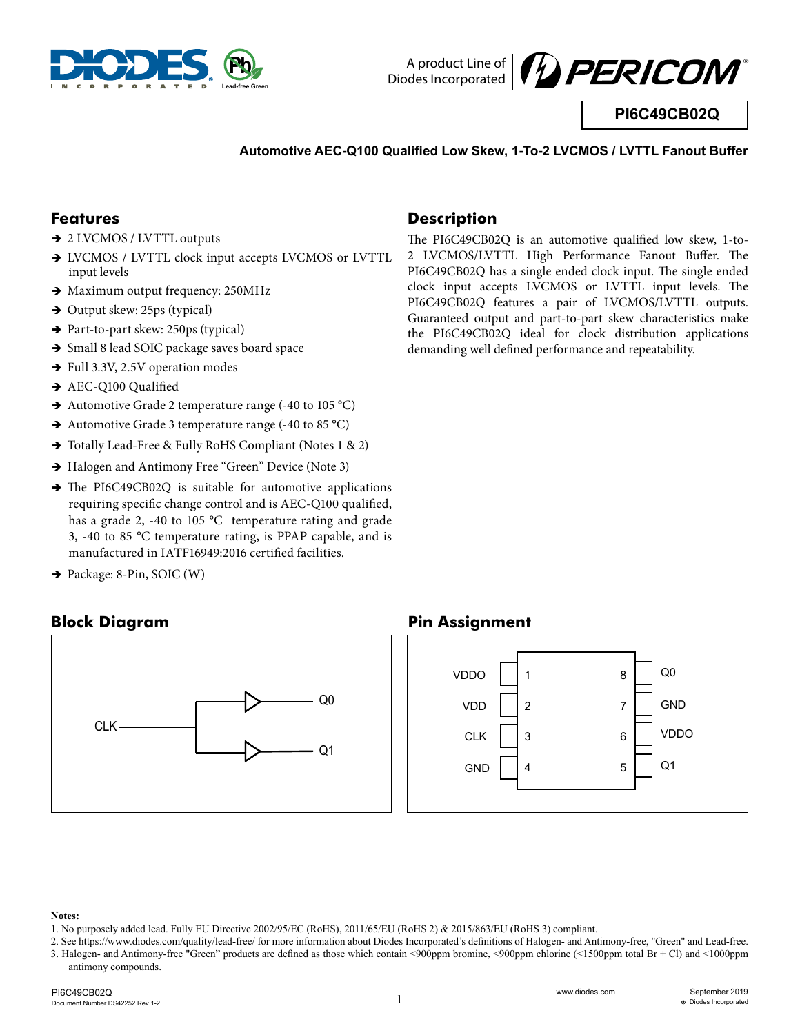



**PI6C49CB02Q**

#### **Automotive AEC-Q100 Qualified Low Skew, 1-To-2 LVCMOS / LVTTL Fanout Buffer**

#### **Features**

- → 2 LVCMOS / LVTTL outputs
- $\rightarrow$  LVCMOS / LVTTL clock input accepts LVCMOS or LVTTL input levels
- $\rightarrow$  Maximum output frequency: 250MHz
- $\rightarrow$  Output skew: 25ps (typical)
- $\rightarrow$  Part-to-part skew: 250ps (typical)
- $\rightarrow$  Small 8 lead SOIC package saves board space
- $\rightarrow$  Full 3.3V, 2.5V operation modes
- $\rightarrow$  AEC-Q100 Qualified
- $\rightarrow$  Automotive Grade 2 temperature range (-40 to 105 °C)
- $\rightarrow$  Automotive Grade 3 temperature range (-40 to 85 °C)
- $\rightarrow$  Totally Lead-Free & Fully RoHS Compliant (Notes 1 & 2)
- $\rightarrow$  Halogen and Antimony Free "Green" Device (Note 3)
- $\rightarrow$  The PI6C49CB02Q is suitable for automotive applications requiring specific change control and is AEC-Q100 qualified, has a grade 2, -40 to 105 °C temperature rating and grade 3, -40 to 85 °C temperature rating, is PPAP capable, and is manufactured in IATF16949:2016 certified facilities.
- $\rightarrow$  Package: 8-Pin, SOIC (W)

### **Block Diagram**



#### **Description**

The PI6C49CB02Q is an automotive qualified low skew, 1-to-2 LVCMOS/LVTTL High Performance Fanout Buffer. The PI6C49CB02Q has a single ended clock input. The single ended clock input accepts LVCMOS or LVTTL input levels. The PI6C49CB02Q features a pair of LVCMOS/LVTTL outputs. Guaranteed output and part-to-part skew characteristics make the PI6C49CB02Q ideal for clock distribution applications demanding well defined performance and repeatability.

#### **Pin Assignment**



#### **Notes:**

<sup>1.</sup> No purposely added lead. Fully EU Directive 2002/95/EC (RoHS), 2011/65/EU (RoHS 2) & 2015/863/EU (RoHS 3) compliant.

<sup>2.</sup> See https://www.diodes.com/quality/lead-free/ for more information about Diodes Incorporated's definitions of Halogen- and Antimony-free, "Green" and Lead-free. 3. Halogen- and Antimony-free "Green" products are defined as those which contain <900ppm bromine, <900ppm chlorine (<1500ppm total Br + Cl) and <1000ppm antimony compounds.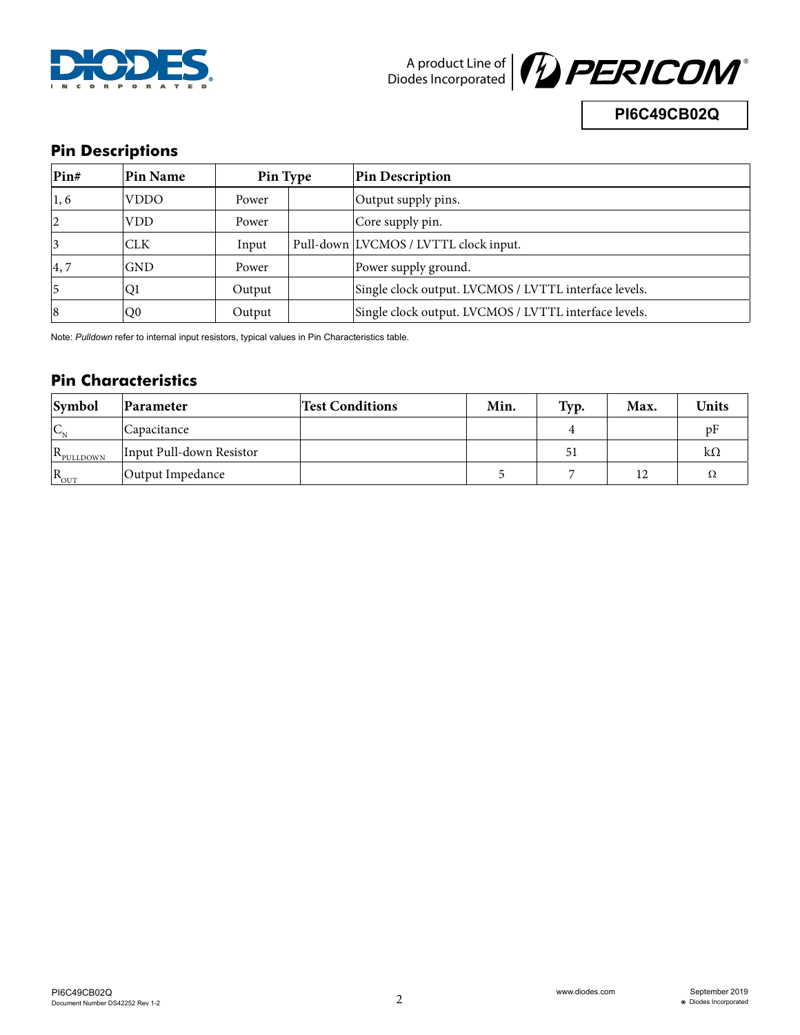



**PI6C49CB02Q**

## **Pin Descriptions**

| Pin# | Pin Name       | Pin Type |  | <b>Pin Description</b>                                |
|------|----------------|----------|--|-------------------------------------------------------|
| 1, 6 | VDDO           | Power    |  | Output supply pins.                                   |
| 12   | <b>VDD</b>     | Power    |  | Core supply pin.                                      |
|      | <b>CLK</b>     | Input    |  | Pull-down LVCMOS / LVTTL clock input.                 |
| 4, 7 | <b>GND</b>     | Power    |  | Power supply ground.                                  |
| 15   | Q1             | Output   |  | Single clock output. LVCMOS / LVTTL interface levels. |
| 8    | Q <sub>0</sub> | Output   |  | Single clock output. LVCMOS / LVTTL interface levels. |

Note: *Pulldown* refer to internal input resistors, typical values in Pin Characteristics table.

## **Pin Characteristics**

| Symbol                                  | Parameter                | <b>Test Conditions</b> | Min. | Typ. | Max. | <b>Units</b> |
|-----------------------------------------|--------------------------|------------------------|------|------|------|--------------|
| $\mathsf{IC}_{\scriptscriptstyle\rm M}$ | Capacitance              |                        |      |      |      |              |
| $R_{\text{pULIDOWN}}$                   | Input Pull-down Resistor |                        |      | 51   |      | kΩ           |
| $\vert R_{\text{out}}\vert$             | Output Impedance         |                        |      |      | 12   |              |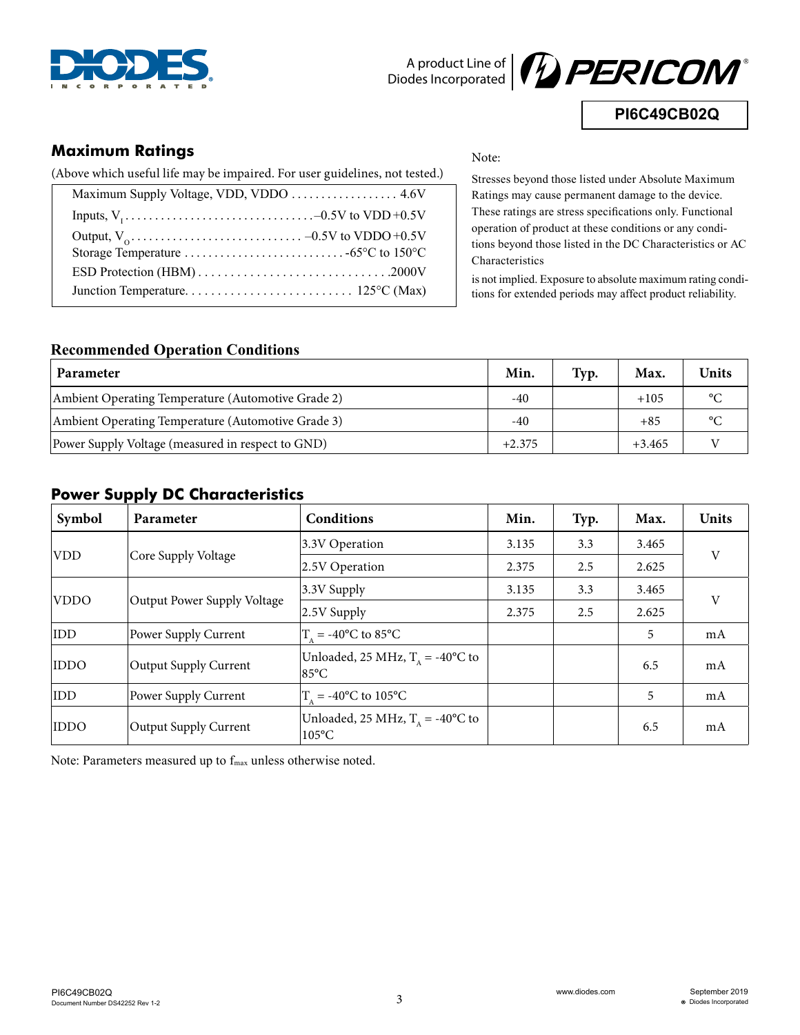



**PI6C49CB02Q**

## **Maximum Ratings**

(Above which useful life may be impaired. For user guidelines, not tested.)

Note:

Stresses beyond those listed under Absolute Maximum Ratings may cause permanent damage to the device. These ratings are stress specifications only. Functional operation of product at these conditions or any conditions beyond those listed in the DC Characteristics or AC Characteristics

is not implied. Exposure to absolute maximum rating conditions for extended periods may affect product reliability.

#### **Recommended Operation Conditions**

| <b>Parameter</b>                                   | Min.     | Typ. | Max.     | <b>Units</b>    |
|----------------------------------------------------|----------|------|----------|-----------------|
| Ambient Operating Temperature (Automotive Grade 2) | $-40$    |      | $+105$   | $\rm ^{\circ}C$ |
| Ambient Operating Temperature (Automotive Grade 3) | $-40$    |      | $+85$    | $\circ$         |
| Power Supply Voltage (measured in respect to GND)  | $+2.375$ |      | $+3.465$ |                 |

### **Power Supply DC Characteristics**

| Symbol                                     | <b>Parameter</b>      | Conditions                                             | Min.  | Typ.  | Max.  | Units |
|--------------------------------------------|-----------------------|--------------------------------------------------------|-------|-------|-------|-------|
|                                            |                       | 3.3V Operation                                         | 3.135 | 3.3   | 3.465 |       |
| <b>VDD</b>                                 | Core Supply Voltage   | 2.5V Operation                                         | 2.375 | 2.5   | 2.625 | V     |
| <b>VDDO</b><br>Output Power Supply Voltage | 3.3V Supply           | 3.135                                                  | 3.3   | 3.465 |       |       |
|                                            |                       | 2.5V Supply                                            | 2.375 | 2.5   | 2.625 | V     |
| <b>IDD</b>                                 | Power Supply Current  | $T_a = -40^{\circ}$ C to 85°C                          |       |       | 5     | mA    |
| <b>IDDO</b>                                | Output Supply Current | Unloaded, 25 MHz, $TA = -40$ °C to<br>$85^{\circ}$ C   |       |       | 6.5   | mA    |
| <b>IDD</b>                                 | Power Supply Current  | $T_a = -40^{\circ}$ C to 105°C                         |       |       | 5     | mA    |
| <b>IDDO</b>                                | Output Supply Current | Unloaded, 25 MHz, $T_A = -40$ °C to<br>$105^{\circ}$ C |       |       | 6.5   | mA    |

Note: Parameters measured up to f<sub>max</sub> unless otherwise noted.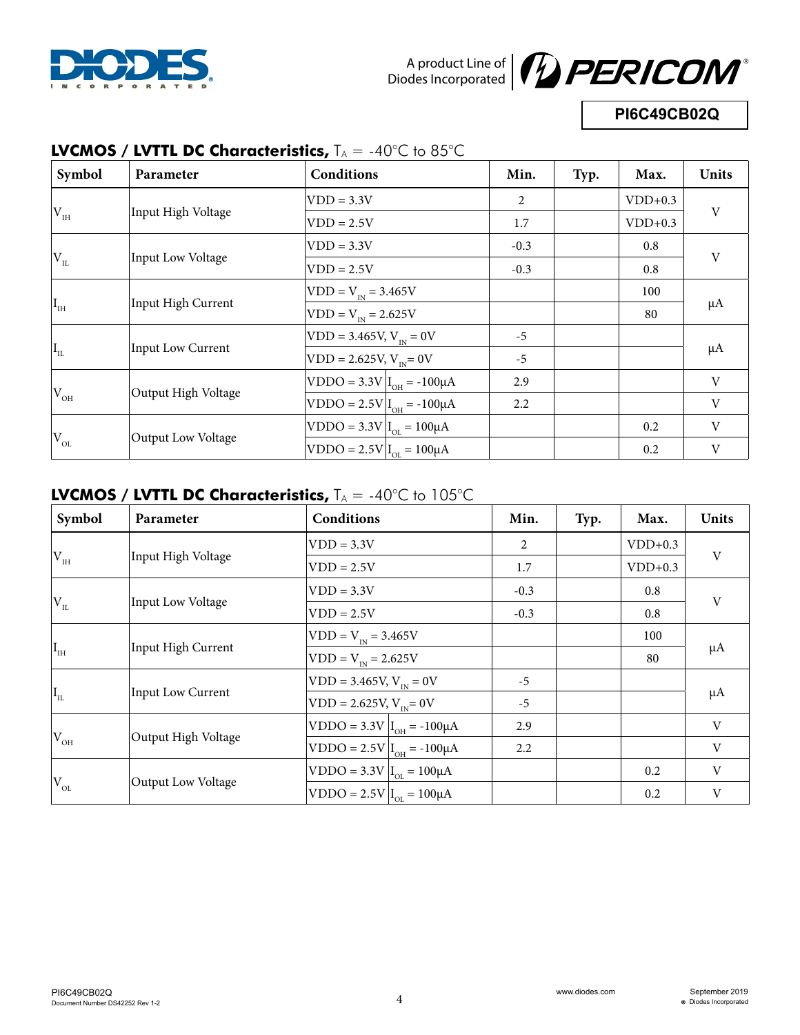



**PI6C49CB02Q**

| Symbol                          | Parameter                | <b>Conditions</b>                  | Min.   | Typ. | Max.      | Units                     |
|---------------------------------|--------------------------|------------------------------------|--------|------|-----------|---------------------------|
|                                 |                          | $VDD = 3.3V$                       | 2      |      | $VDD+0.3$ |                           |
| $V_{\rm _{IH}}$                 | Input High Voltage       | $VDD = 2.5V$                       | 1.7    |      | $VDD+0.3$ | V                         |
|                                 |                          | $VDD = 3.3V$                       | $-0.3$ |      | 0.8       |                           |
| $\mathrm{^{l}V}_{_{IL}}$        | Input Low Voltage        | $VDD = 2.5V$                       | $-0.3$ |      | 0.8       | V                         |
|                                 |                          | $VDD = V_{IN} = 3.465V$            |        |      | 100       |                           |
| $\rm I_{\rm IH}$                | Input High Current       | $VDD = V_{IN} = 2.625V$            |        |      | 80        | $\mu A$                   |
|                                 |                          | $VDD = 3.465V, V_{IN} = 0V$        | $-5$   |      |           |                           |
| $\mathbf{I}_{\text{\tiny{IL}}}$ | <b>Input Low Current</b> | $VDD = 2.625V, V_{av} = 0V$        | $-5$   |      |           | $\mu A$                   |
|                                 |                          | $ VDDO = 3.3V I_{OH} = -100 \mu A$ | 2.9    |      |           | $\ensuremath{\mathbf{V}}$ |
| $ V_{\text{OH}} $               | Output High Voltage      | $ VDDO = 2.5V I_{OH} = -100 \mu A$ | 2.2    |      |           | $\ensuremath{\mathbf{V}}$ |
|                                 |                          | $ VDDO = 3.3V I_{OL} = 100 \mu A$  |        |      | 0.2       | V                         |
| $\rm V_{OL}$                    | Output Low Voltage       | $VDDO = 2.5V   I_{OL} = 100 \mu A$ |        |      | 0.2       | V                         |

# **LVCMOS / LVTTL DC Characteristics,**  $T_A = -40^{\circ}C$  to 85 $^{\circ}C$

## **LVCMOS / LVTTL DC Characteristics,** T<sub>A</sub> = -40°C to 105°C

| Symbol                   | Parameter                | Conditions                         | Min.   | Typ. | Max.      | Units       |
|--------------------------|--------------------------|------------------------------------|--------|------|-----------|-------------|
|                          |                          | $VDD = 3.3V$                       | 2      |      | $VDD+0.3$ | V           |
| $V_{IH}$                 | Input High Voltage       | $VDD = 2.5V$                       | 1.7    |      | $VDD+0.3$ |             |
|                          |                          | $VDD = 3.3V$                       | $-0.3$ |      | 0.8       |             |
| $\rm V_{_{II}}$          | Input Low Voltage        | $VDD = 2.5V$                       | $-0.3$ |      | 0.8       | V           |
|                          |                          | $VDD = V_{IN} = 3.465V$            |        |      | 100       |             |
| $\rm I_{\rm IH}$         | Input High Current       | $ VDD = V_{IN} = 2.625V$           |        |      | 80        | $\mu A$     |
|                          |                          | $VDD = 3.465V, V_{IN} = 0V$        | $-5$   |      |           |             |
| $\vert I_{\rm IL} \vert$ | <b>Input Low Current</b> | $VDD = 2.625V, V_{av} = 0V$        | $-5$   |      |           | $\mu A$     |
|                          |                          | $ VDDO = 3.3V  IOH = -100 \mu A$   | 2.9    |      |           | $\mathbf V$ |
| $V_{\rm OH}$             | Output High Voltage      | $ VDDO = 2.5V I_{OH} = -100 \mu A$ | 2.2    |      |           | V           |
|                          |                          | $VDDO = 3.3V  I_{OL} = 100 \mu A$  |        |      | 0.2       | V           |
| $\rm V_{OL}$             | Output Low Voltage       | $ VDDO = 2.5V Iot = 100 \mu A$     |        |      | 0.2       | V           |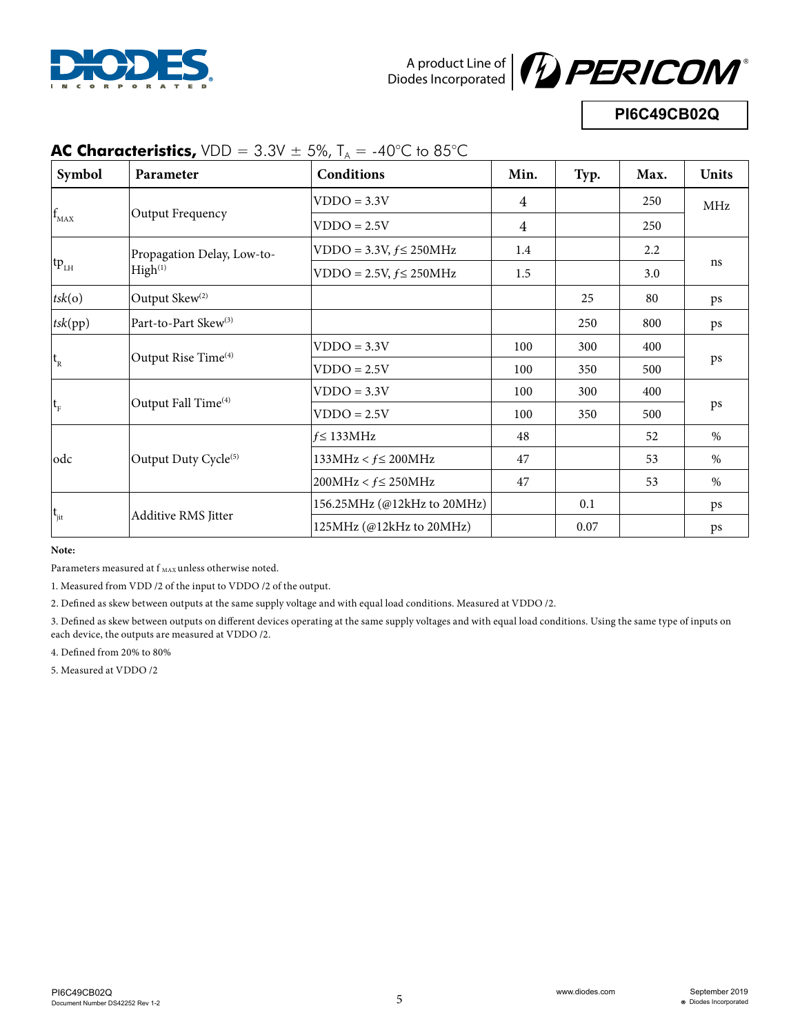



# **PI6C49CB02Q**

| Symbol            | Parameter                        | Conditions                    | Min.           | Typ. | Max. | <b>Units</b> |
|-------------------|----------------------------------|-------------------------------|----------------|------|------|--------------|
|                   |                                  | $VDDO = 3.3V$                 | $\overline{4}$ |      | 250  | MHz          |
| $\rm f_{\rm MAX}$ | Output Frequency                 | $VDDO = 2.5V$                 | $\overline{4}$ |      | 250  |              |
|                   | Propagation Delay, Low-to-       | $VDDO = 3.3V, f \leq 250 MHz$ | 1.4            |      | 2.2  |              |
| $tp_{LH}$         | High <sup>(1)</sup>              | $VDDO = 2.5V, f \leq 250 MHz$ | 1.5            |      | 3.0  | ns           |
| tsk(o)            | Output Skew <sup>(2)</sup>       |                               |                | 25   | 80   | ps           |
| tsk(pp)           | Part-to-Part Skew <sup>(3)</sup> |                               |                | 250  | 800  | ps           |
|                   | Output Rise Time <sup>(4)</sup>  | $VDDO = 3.3V$                 | 100            | 300  | 400  |              |
| $t_{R}$           |                                  | $VDDO = 2.5V$                 | 100            | 350  | 500  | ps           |
|                   |                                  | $VDDO = 3.3V$                 | 100            | 300  | 400  |              |
| $t_{\rm F}$       | Output Fall Time <sup>(4)</sup>  | $VDDO = 2.5V$                 | 100            | 350  | 500  | ps           |
|                   |                                  | $f \leq 133 MHz$              | 48             |      | 52   | $\%$         |
| odc               | Output Duty Cycle <sup>(5)</sup> | $133MHz < f \leq 200MHz$      | 47             |      | 53   | $\%$         |
|                   |                                  | $200MHz < f \leq 250MHz$      | 47             |      | 53   | $\%$         |
|                   |                                  | 156.25MHz (@12kHz to 20MHz)   |                | 0.1  |      | ps           |
| $t_{\rm{jit}}$    | Additive RMS Jitter              | 125MHz (@12kHz to 20MHz)      |                | 0.07 |      | ps           |

# **AC Characteristics,**  $VDD = 3.3V \pm 5\%$ ,  $T_A = -40^{\circ}C$  to 85°C

**Note:**

Parameters measured at  $\mathbf{f}_{\text{MAX}}$  unless otherwise noted.

1. Measured from VDD /2 of the input to VDDO /2 of the output.

2. Defined as skew between outputs at the same supply voltage and with equal load conditions. Measured at VDDO /2.

3. Defined as skew between outputs on different devices operating at the same supply voltages and with equal load conditions. Using the same type of inputs on each device, the outputs are measured at VDDO /2.

4. Defined from 20% to 80%

5. Measured at VDDO /2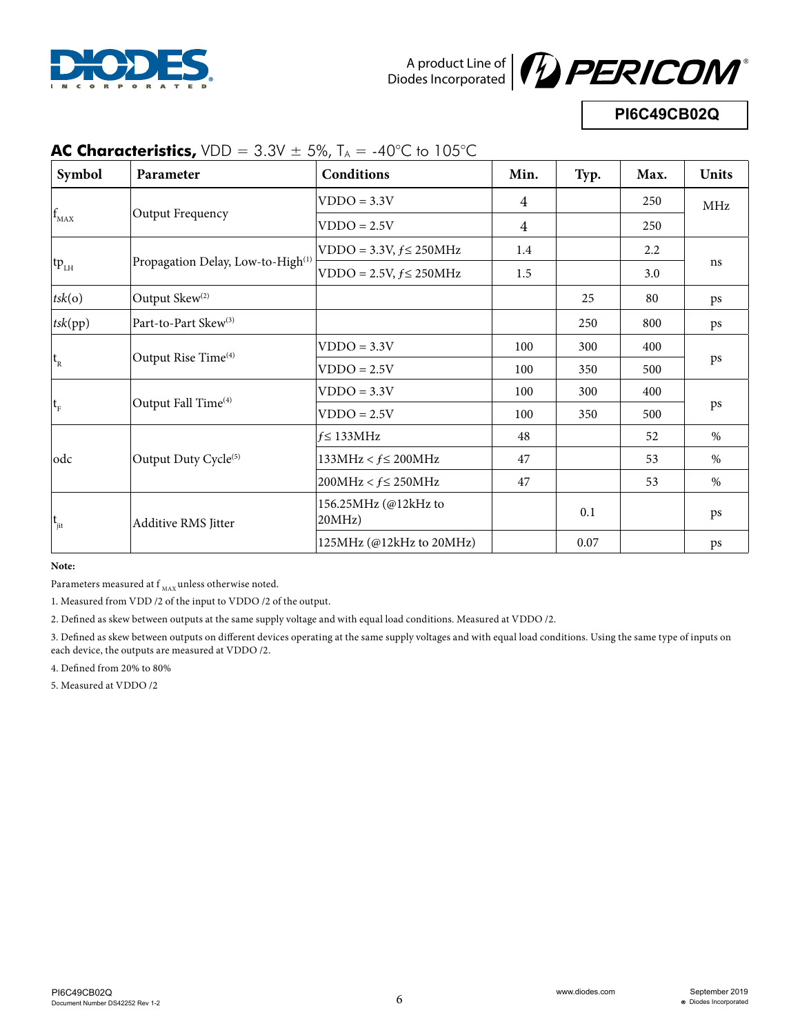



# **PI6C49CB02Q**

| Symbol                    | Parameter                                     | Conditions                     | Min.           | Typ. | Max. | <b>Units</b> |
|---------------------------|-----------------------------------------------|--------------------------------|----------------|------|------|--------------|
|                           |                                               | $VDDO = 3.3V$                  | 4              |      | 250  | MHz          |
| $\mathbf{L}_{\text{MAX}}$ | Output Frequency                              | $VDDO = 2.5V$                  | $\overline{4}$ |      | 250  |              |
|                           |                                               | $VDDO = 3.3V, f \leq 250MHz$   | 1.4            |      | 2.2  |              |
| $tp_{LH}$                 | Propagation Delay, Low-to-High <sup>(1)</sup> | $VDDO = 2.5V, f \leq 250 MHz$  | $1.5\,$        |      | 3.0  | ns           |
| tsk(o)                    | Output Skew <sup>(2)</sup>                    |                                |                | 25   | 80   | ps           |
| tsk(pp)                   | Part-to-Part Skew <sup>(3)</sup>              |                                |                | 250  | 800  | ps           |
|                           | Output Rise Time <sup>(4)</sup>               | $VDDO = 3.3V$                  | 100            | 300  | 400  |              |
| $t_{R}$                   |                                               | $VDDO = 2.5V$                  | 100            | 350  | 500  | ps           |
|                           |                                               | $VDDO = 3.3V$                  | 100            | 300  | 400  |              |
| $ t_F $                   | Output Fall Time <sup>(4)</sup>               | $VDDO = 2.5V$                  | 100            | 350  | 500  | ps           |
|                           |                                               | $f \leq 133 MHz$               | 48             |      | 52   | $\%$         |
| odc                       | Output Duty Cycle <sup>(5)</sup>              | $133MHz < f \leq 200MHz$       | 47             |      | 53   | $\%$         |
|                           |                                               | $200MHz < f \leq 250MHz$       | 47             |      | 53   | $\%$         |
| $t_{\rm{jit}}$            | Additive RMS Jitter                           | 156.25MHz (@12kHz to<br>20MHz) |                | 0.1  |      | ps           |
|                           |                                               | $125MHz$ (@12kHz to 20MHz)     |                | 0.07 |      | ps           |

# **AC Characteristics,**  $VDD = 3.3V \pm 5\%$ ,  $T_A = -40^{\circ}C$  to  $105^{\circ}C$

**Note:**

Parameters measured at  $\boldsymbol{\mathsf{f}}_{\text{MAX}}$  unless otherwise noted.

1. Measured from VDD /2 of the input to VDDO /2 of the output.

2. Defined as skew between outputs at the same supply voltage and with equal load conditions. Measured at VDDO /2.

3. Defined as skew between outputs on different devices operating at the same supply voltages and with equal load conditions. Using the same type of inputs on each device, the outputs are measured at VDDO /2.

4. Defined from 20% to 80%

5. Measured at VDDO /2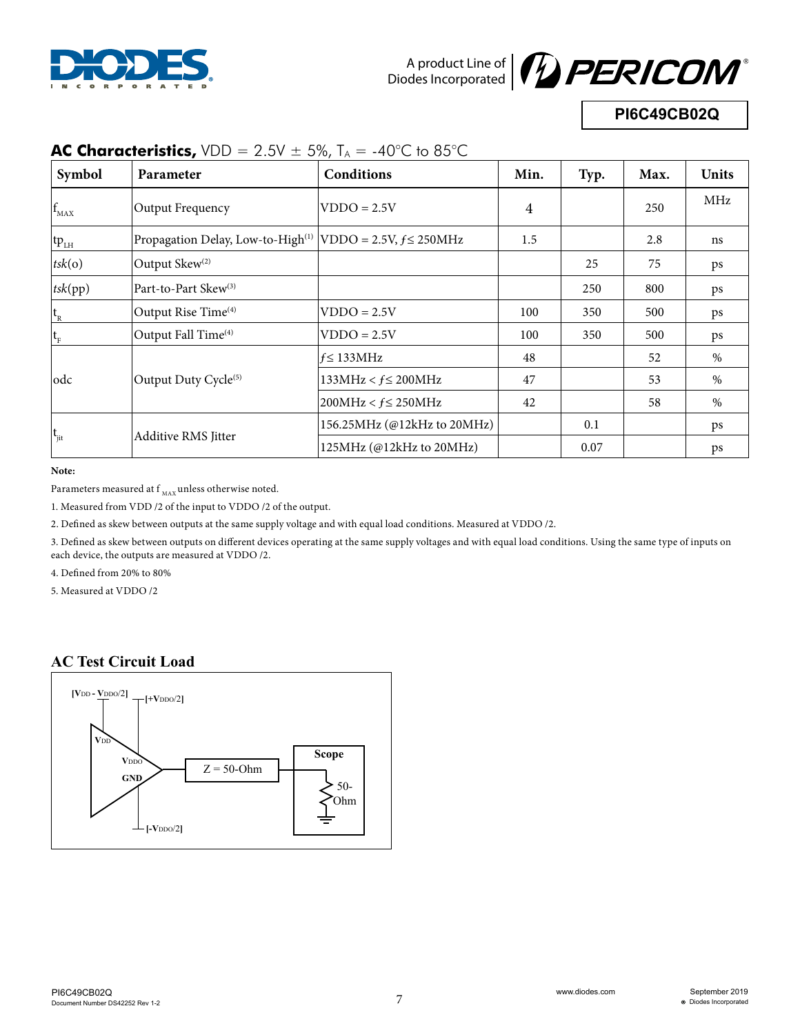



**PI6C49CB02Q**

| Symbol      | Parameter                               | Conditions                    | Min.           | Typ. | Max. | <b>Units</b> |
|-------------|-----------------------------------------|-------------------------------|----------------|------|------|--------------|
| $f_{MAX}$   | Output Frequency                        | $VDDO = 2.5V$                 | $\overline{4}$ |      | 250  | MHz          |
| $tp_{LH}$   | Propagation Delay, Low-to-High $^{(1)}$ | $VDDO = 2.5V, f \leq 250 MHz$ | 1.5            |      | 2.8  | ns           |
| tsk(o)      | Output Skew <sup>(2)</sup>              |                               |                | 25   | 75   | ps           |
| tsk(pp)     | Part-to-Part Skew <sup>(3)</sup>        |                               |                | 250  | 800  | ps           |
| $ t_{R}$    | Output Rise Time <sup>(4)</sup>         | $VDDO = 2.5V$                 | 100            | 350  | 500  | ps           |
| $ t_F $     | Output Fall Time <sup>(4)</sup>         | $VDDO = 2.5V$                 | 100            | 350  | 500  | ps           |
|             |                                         | $f \leq 133 MHz$              | 48             |      | 52   | $\%$         |
| odc         | Output Duty Cycle <sup>(5)</sup>        | $133MHz < f \leq 200MHz$      | 47             |      | 53   | $\%$         |
|             |                                         | $200MHz < f \leq 250MHz$      | 42             |      | 58   | $\%$         |
|             |                                         | 156.25MHz (@12kHz to 20MHz)   |                | 0.1  |      | ps           |
| $ t_{jit} $ | <b>Additive RMS Jitter</b>              | $125MHz$ (@12kHz to 20MHz)    |                | 0.07 |      | ps           |

# **AC Characteristics,**  $VDD = 2.5V \pm 5\%$ ,  $T_A = -40^{\circ}C$  to 85 $^{\circ}C$

**Note:**

Parameters measured at  $\boldsymbol{\mathsf{f}}_{_{\text{MAX}}}$  unless otherwise noted.

1. Measured from VDD /2 of the input to VDDO /2 of the output.

2. Defined as skew between outputs at the same supply voltage and with equal load conditions. Measured at VDDO /2.

3. Defined as skew between outputs on different devices operating at the same supply voltages and with equal load conditions. Using the same type of inputs on each device, the outputs are measured at VDDO /2.

4. Defined from 20% to 80%

5. Measured at VDDO /2

### **AC Test Circuit Load**

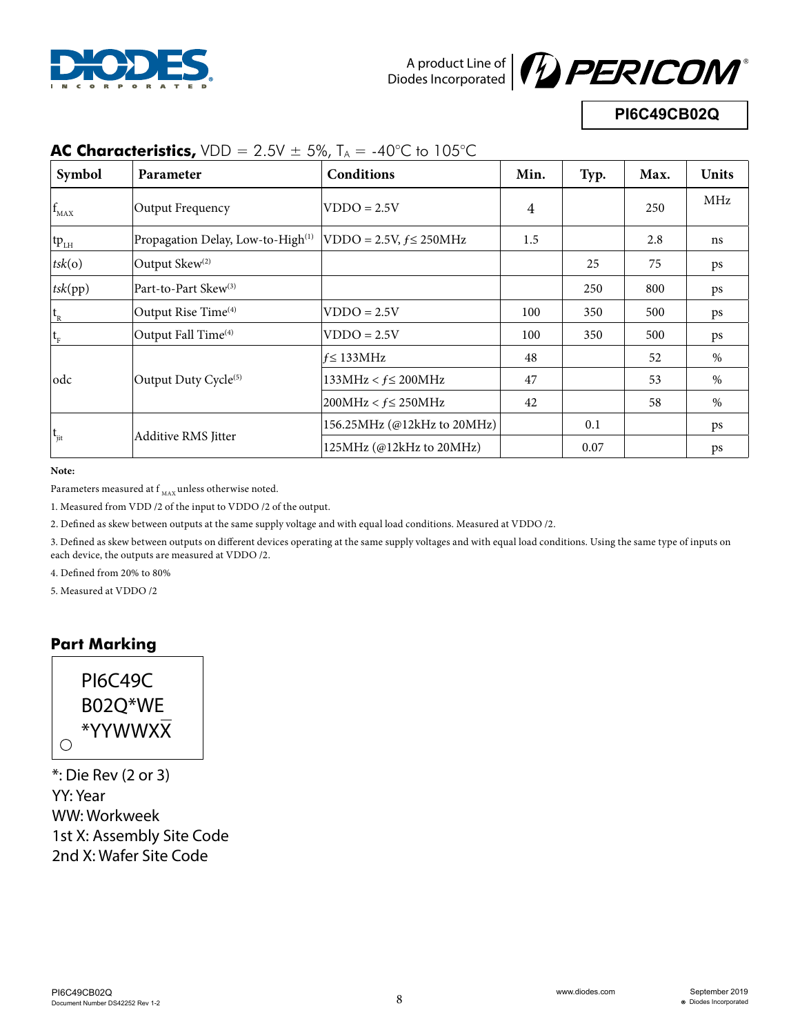



# **PI6C49CB02Q**

| Symbol      | Parameter                                     | <b>Conditions</b>            | Min.           | Typ. | Max. | <b>Units</b> |
|-------------|-----------------------------------------------|------------------------------|----------------|------|------|--------------|
| $f_{MAX}$   | Output Frequency                              | $VDDO = 2.5V$                | $\overline{4}$ |      | 250  | MHz          |
| $tp_{LH}$   | Propagation Delay, Low-to-High <sup>(1)</sup> | $VDDO = 2.5V, f \leq 250MHz$ | 1.5            |      | 2.8  | ns           |
| tsk(o)      | Output Skew <sup>(2)</sup>                    |                              |                | 25   | 75   | ps           |
| tsk(pp)     | Part-to-Part Skew <sup>(3)</sup>              |                              |                | 250  | 800  | ps           |
| $ t_{R}$    | Output Rise Time <sup>(4)</sup>               | $VDDO = 2.5V$                | 100            | 350  | 500  | ps           |
| $ t_F$      | Output Fall Time <sup>(4)</sup>               | $VDDO = 2.5V$                | 100            | 350  | 500  | ps           |
|             |                                               | $f \leq 133 MHz$             | 48             |      | 52   | $\%$         |
| lodc        | Output Duty Cycle $(5)$                       | $133MHz < f \leq 200MHz$     | 47             |      | 53   | $\%$         |
|             |                                               | $200MHz < f \leq 250MHz$     | 42             |      | 58   | $\%$         |
|             |                                               | 156.25MHz (@12kHz to 20MHz)  |                | 0.1  |      | ps           |
| $ t_{jit} $ | <b>Additive RMS Jitter</b>                    | 125MHz (@12kHz to 20MHz)     |                | 0.07 |      | ps           |

## **AC Characteristics,**  $VDD = 2.5V \pm 5\%$ ,  $T_A = -40^{\circ}C$  to 105 $^{\circ}C$

**Note:**

Parameters measured at  $f_{MAX}$  unless otherwise noted.

1. Measured from VDD /2 of the input to VDDO /2 of the output.

2. Defined as skew between outputs at the same supply voltage and with equal load conditions. Measured at VDDO /2.

3. Defined as skew between outputs on different devices operating at the same supply voltages and with equal load conditions. Using the same type of inputs on each device, the outputs are measured at VDDO /2.

4. Defined from 20% to 80%

5. Measured at VDDO /2

#### **Part Marking**



\*: Die Rev (2 or 3) YY: Year WW: Workweek 1st X: Assembly Site Code 2nd X: Wafer Site Code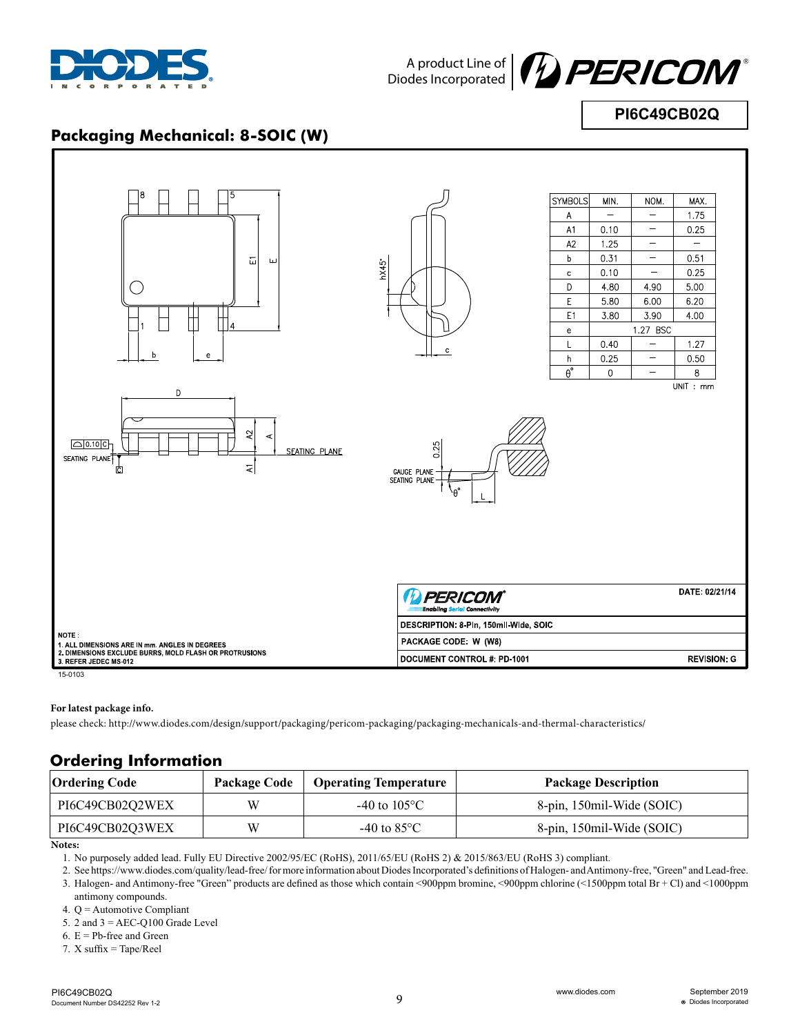



**PI6C49CB02Q**

## **Packaging Mechanical: 8-SOIC (W)**



#### **For latest package info.**

please check: http://www.diodes.com/design/support/packaging/pericom-packaging/packaging-mechanicals-and-thermal-characteristics/

### **Ordering Information**

| Ordering Code   | Package Code | <b>Operating Temperature</b> | <b>Package Description</b> |
|-----------------|--------------|------------------------------|----------------------------|
| PI6C49CB02O2WEX | W            | -40 to 105 °C                | 8-pin, 150mil-Wide (SOIC)  |
| PI6C49CB02O3WEX | W            | -40 to 85 $^{\circ}$ C       | 8-pin, 150mil-Wide (SOIC)  |

**Notes:**

1. No purposely added lead. Fully EU Directive 2002/95/EC (RoHS), 2011/65/EU (RoHS 2) & 2015/863/EU (RoHS 3) compliant.

2. See https://www.diodes.com/quality/lead-free/ for more information about Diodes Incorporated's definitions of Halogen- and Antimony-free, "Green" and Lead-free. 3. Halogen- and Antimony-free "Green" products are defined as those which contain <900ppm bromine, <900ppm chlorine (<1500ppm total Br + Cl) and <1000ppm antimony compounds.

4. Q = Automotive Compliant

5. 2 and  $3 =$  AEC-Q100 Grade Level

6.  $E = Pb$ -free and Green

7. X suffix = Tape/Reel